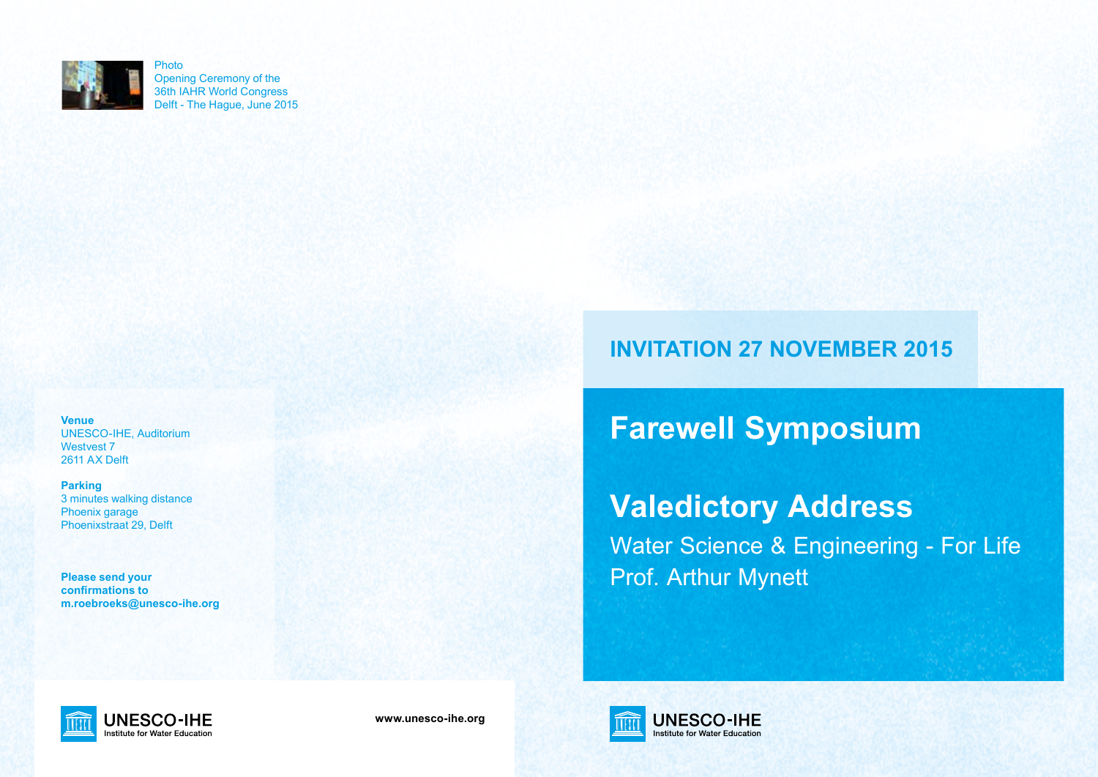

Opening Ceremony of the 36th IAHR World Congress Delft - The Hague, June 2015

**Venue** UNESCO-IHE, Auditorium Westvest 7 2611 AX Delft

**Parking** 3 minutes walking distance Phoenix garage Phoenixstraat 29, Delft

**Please send your confirmations to m.roebroeks@unesco-ihe.org**

# **INVITATION 27 NOVEMBER 2015**

**Farewell Symposium**

# **Valedictory Address**

Water Science & Engineering - For Life Prof. Arthur Mynett



**www.unesco-ihe.org**